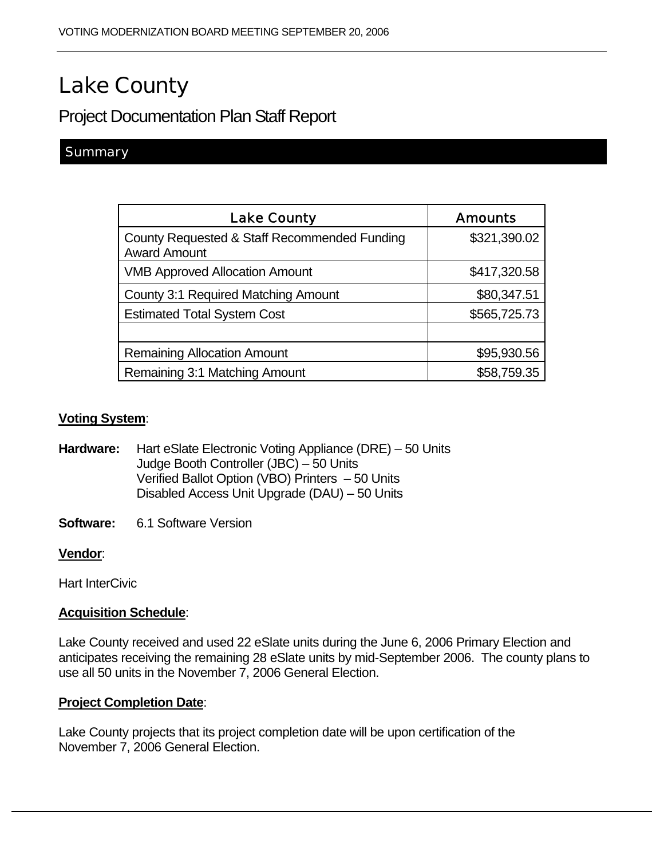# Lake County

Project Documentation Plan Staff Report

## **Summary**

| <b>Lake County</b>                                                  | <b>Amounts</b> |
|---------------------------------------------------------------------|----------------|
| County Requested & Staff Recommended Funding<br><b>Award Amount</b> | \$321,390.02   |
| <b>VMB Approved Allocation Amount</b>                               | \$417,320.58   |
| <b>County 3:1 Required Matching Amount</b>                          | \$80,347.51    |
| <b>Estimated Total System Cost</b>                                  | \$565,725.73   |
|                                                                     |                |
| <b>Remaining Allocation Amount</b>                                  | \$95,930.56    |
| Remaining 3:1 Matching Amount                                       | \$58,759.35    |

#### **Voting System**:

**Hardware:** Hart eSlate Electronic Voting Appliance (DRE) – 50 Units Judge Booth Controller (JBC) – 50 Units Verified Ballot Option (VBO) Printers – 50 Units Disabled Access Unit Upgrade (DAU) – 50 Units

**Software:** 6.1 Software Version

#### **Vendor**:

Hart InterCivic

### **Acquisition Schedule**:

Lake County received and used 22 eSlate units during the June 6, 2006 Primary Election and anticipates receiving the remaining 28 eSlate units by mid-September 2006. The county plans to use all 50 units in the November 7, 2006 General Election.

#### **Project Completion Date**:

Lake County projects that its project completion date will be upon certification of the November 7, 2006 General Election.